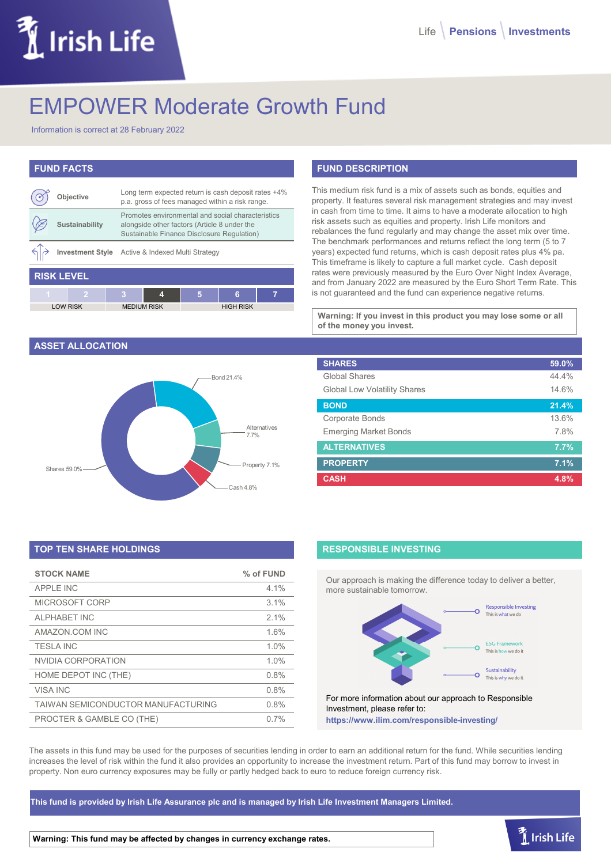# Irish Life

# EMPOWER Moderate Growth Fund

Information is correct at 28 February 2022

# **FUND FACTS**

|                   | Objective             |                    | Long term expected return is cash deposit rates +4%<br>p.a. gross of fees managed within a risk range.                                          |   |                  |   |
|-------------------|-----------------------|--------------------|-------------------------------------------------------------------------------------------------------------------------------------------------|---|------------------|---|
|                   | <b>Sustainability</b> |                    | Promotes environmental and social characteristics<br>alongside other factors (Article 8 under the<br>Sustainable Finance Disclosure Regulation) |   |                  |   |
|                   |                       |                    | Investment Style Active & Indexed Multi Strategy                                                                                                |   |                  |   |
| <b>RISK LEVEL</b> |                       |                    |                                                                                                                                                 |   |                  |   |
| 4                 |                       |                    | 4                                                                                                                                               | 5 | 6                | 7 |
|                   | <b>LOW RISK</b>       | <b>MEDIUM RISK</b> |                                                                                                                                                 |   | <b>HIGH RISK</b> |   |

#### **ASSET ALLOCATION**



# **TOP TEN SHARE HOLDINGS**

| <b>STOCK NAME</b>                  | % of FUND |
|------------------------------------|-----------|
| <b>APPLE INC</b>                   | 4.1%      |
| MICROSOFT CORP                     | 3.1%      |
| <b>ALPHABET INC</b>                | 2.1%      |
| AMAZON.COM INC                     | 1.6%      |
| <b>TESIA INC</b>                   | 1.0%      |
| NVIDIA CORPORATION                 | 1.0%      |
| HOME DEPOT INC (THE)               | 0.8%      |
| <b>VISA INC</b>                    | 0.8%      |
| TAIWAN SEMICONDUCTOR MANUFACTURING | 0.8%      |
| PROCTER & GAMBLE CO (THE)          | 0.7%      |

# **FUND DESCRIPTION**

This medium risk fund is a mix of assets such as bonds, equities and property. It features several risk management strategies and may invest in cash from time to time. It aims to have a moderate allocation to high risk assets such as equities and property. Irish Life monitors and rebalances the fund regularly and may change the asset mix over time. The benchmark performances and returns reflect the long term (5 to 7 years) expected fund returns, which is cash deposit rates plus 4% pa. This timeframe is likely to capture a full market cycle. Cash deposit rates were previously measured by the Euro Over Night Index Average, and from January 2022 are measured by the Euro Short Term Rate. This is not guaranteed and the fund can experience negative returns.

**Warning: If you invest in this product you may lose some or all of the money you invest.**

| <b>SHARES</b>                       | 59.0% |
|-------------------------------------|-------|
| <b>Global Shares</b>                | 44.4% |
| <b>Global Low Volatility Shares</b> | 14.6% |
| <b>BOND</b>                         | 21.4% |
| Corporate Bonds                     | 13.6% |
| <b>Emerging Market Bonds</b>        | 7.8%  |
| <b>ALTERNATIVES</b>                 | 7.7%  |
| <b>PROPERTY</b>                     | 7.1%  |
| <b>CASH</b>                         | 4.8%  |

### **RESPONSIBLE INVESTING**

Our approach is making the difference today to deliver a better, more sustainable tomorrow.



For more information about our approach to Responsible Investment, please refer to: **https://www.ilim.com/responsible-investing/**

The assets in this fund may be used for the purposes of securities lending in order to earn an additional return for the fund. While securities lending increases the level of risk within the fund it also provides an opportunity to increase the investment return. Part of this fund may borrow to invest in property. Non euro currency exposures may be fully or partly hedged back to euro to reduce foreign currency risk.

**This fund is provided by Irish Life Assurance plc and is managed by Irish Life Investment Managers Limited.**

**Warning: This fund may be affected by changes in currency exchange rates.**

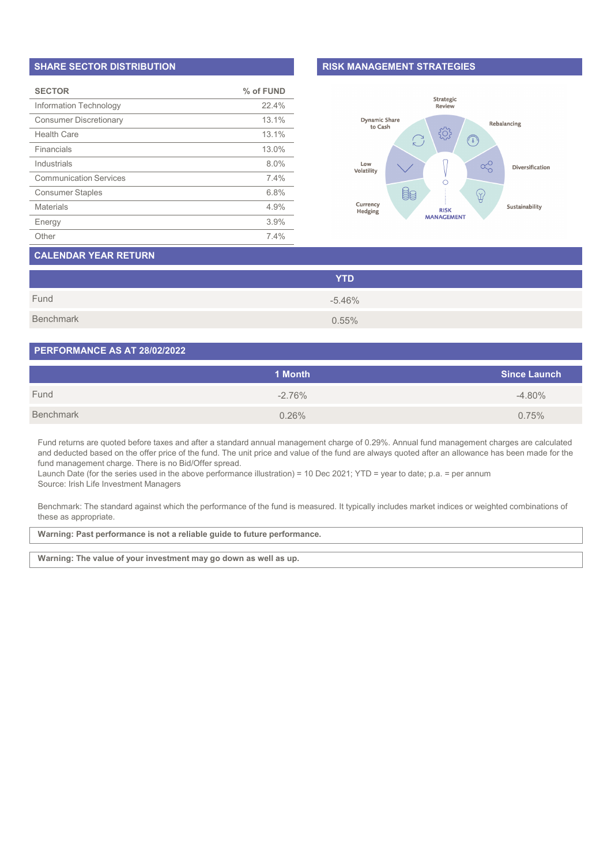#### **SHARE SECTOR DISTRIBUTION**

| <b>SECTOR</b>                 | % of FUND |
|-------------------------------|-----------|
| Information Technology        | 22.4%     |
| <b>Consumer Discretionary</b> | 13.1%     |
| <b>Health Care</b>            | 13.1%     |
| Financials                    | 13.0%     |
| Industrials                   | 8.0%      |
| <b>Communication Services</b> | 7.4%      |
| <b>Consumer Staples</b>       | 6.8%      |
| <b>Materials</b>              | 4.9%      |
| Energy                        | 3.9%      |
| Other                         | 7.4%      |

#### **RISK MANAGEMENT STRATEGIES**



# **CALENDAR YEAR RETURN**

|           | <b>YTD</b> |
|-----------|------------|
| Fund      | $-5.46%$   |
| Benchmark | 0.55%      |

#### **PERFORMANCE AS AT 28/02/2022**

|           | 1 Month  | <b>Since Launch</b> |
|-----------|----------|---------------------|
| Fund      | $-2.76%$ | $-4.80\%$           |
| Benchmark | 0.26%    | 0.75%               |

Fund returns are quoted before taxes and after a standard annual management charge of 0.29%. Annual fund management charges are calculated and deducted based on the offer price of the fund. The unit price and value of the fund are always quoted after an allowance has been made for the fund management charge. There is no Bid/Offer spread.

Launch Date (for the series used in the above performance illustration) = 10 Dec 2021; YTD = year to date; p.a. = per annum Source: Irish Life Investment Managers

Benchmark: The standard against which the performance of the fund is measured. It typically includes market indices or weighted combinations of these as appropriate.

**Warning: Past performance is not a reliable guide to future performance.**

**Warning: The value of your investment may go down as well as up.**